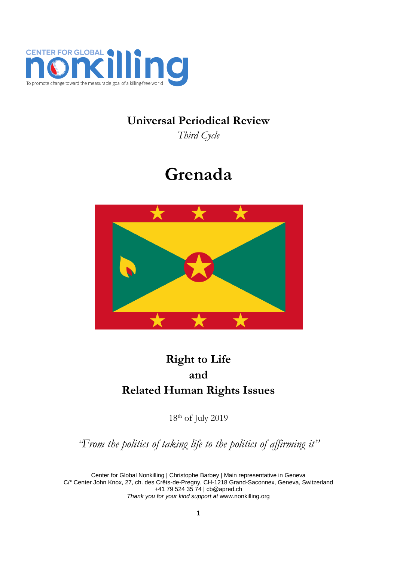

## **Universal Periodical Review**

*Third Cycle*

# **Grenada**



## **Right to Life and Related Human Rights Issues**

18th of July 2019

*"From the politics of taking life to the politics of affirming it"*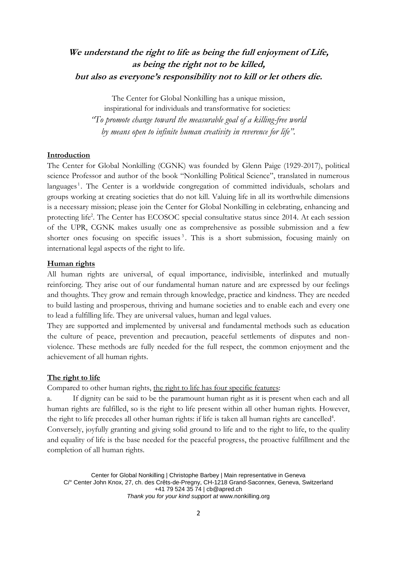## **We understand the right to life as being the full enjoyment of Life, as being the right not to be killed, but also as everyone's responsibility not to kill or let others die.**

The Center for Global Nonkilling has a unique mission, inspirational for individuals and transformative for societies: *"To promote change toward the measurable goal of a killing-free world by means open to infinite human creativity in reverence for life".*

#### **Introduction**

The Center for Global Nonkilling (CGNK) was founded by Glenn Paige (1929-2017), political science Professor and author of the book "Nonkilling Political Science", translated in numerous languages<sup>1</sup>. The Center is a worldwide congregation of committed individuals, scholars and groups working at creating societies that do not kill. Valuing life in all its worthwhile dimensions is a necessary mission; please join the Center for Global Nonkilling in celebrating, enhancing and protecting life<sup>2</sup>. The Center has ECOSOC special consultative status since 2014. At each session of the UPR, CGNK makes usually one as comprehensive as possible submission and a few shorter ones focusing on specific issues<sup>3</sup>. This is a short submission, focusing mainly on international legal aspects of the right to life.

### **Human rights**

All human rights are universal, of equal importance, indivisible, interlinked and mutually reinforcing. They arise out of our fundamental human nature and are expressed by our feelings and thoughts. They grow and remain through knowledge, practice and kindness. They are needed to build lasting and prosperous, thriving and humane societies and to enable each and every one to lead a fulfilling life. They are universal values, human and legal values.

They are supported and implemented by universal and fundamental methods such as education the culture of peace, prevention and precaution, peaceful settlements of disputes and nonviolence. These methods are fully needed for the full respect, the common enjoyment and the achievement of all human rights.

#### **The right to life**

Compared to other human rights, the right to life has four specific features:

a. If dignity can be said to be the paramount human right as it is present when each and all human rights are fulfilled, so is the right to life present within all other human rights. However, the right to life precedes all other human rights: if life is taken all human rights are cancelled<sup>4</sup>. Conversely, joyfully granting and giving solid ground to life and to the right to life, to the quality and equality of life is the base needed for the peaceful progress, the proactive fulfillment and the completion of all human rights.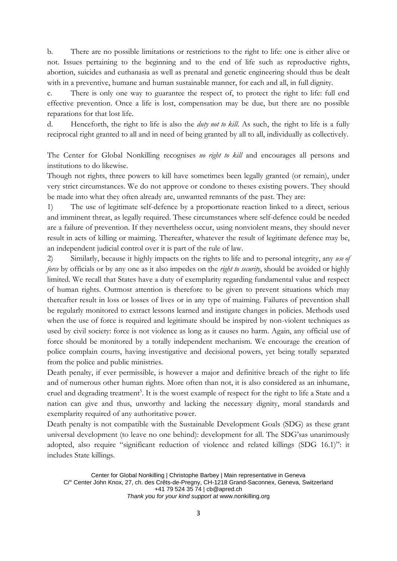b. There are no possible limitations or restrictions to the right to life: one is either alive or not. Issues pertaining to the beginning and to the end of life such as reproductive rights, abortion, suicides and euthanasia as well as prenatal and genetic engineering should thus be dealt with in a preventive, humane and human sustainable manner, for each and all, in full dignity.

c. There is only one way to guarantee the respect of, to protect the right to life: full end effective prevention. Once a life is lost, compensation may be due, but there are no possible reparations for that lost life.

d. Henceforth, the right to life is also the *duty not to kill*. As such, the right to life is a fully reciprocal right granted to all and in need of being granted by all to all, individually as collectively.

The Center for Global Nonkilling recognises *no right to kill* and encourages all persons and institutions to do likewise.

Though not rights, three powers to kill have sometimes been legally granted (or remain), under very strict circumstances. We do not approve or condone to theses existing powers. They should be made into what they often already are, unwanted remnants of the past. They are:

1) The use of legitimate self-defence by a proportionate reaction linked to a direct, serious and imminent threat, as legally required. These circumstances where self-defence could be needed are a failure of prevention. If they nevertheless occur, using nonviolent means, they should never result in acts of killing or maiming. Thereafter, whatever the result of legitimate defence may be, an independent judicial control over it is part of the rule of law.

2) Similarly, because it highly impacts on the rights to life and to personal integrity, any *use of force* by officials or by any one as it also impedes on the *right to security*, should be avoided or highly limited. We recall that States have a duty of exemplarity regarding fundamental value and respect of human rights. Outmost attention is therefore to be given to prevent situations which may thereafter result in loss or losses of lives or in any type of maiming. Failures of prevention shall be regularly monitored to extract lessons learned and instigate changes in policies. Methods used when the use of force is required and legitimate should be inspired by non-violent techniques as used by civil society: force is not violence as long as it causes no harm. Again, any official use of force should be monitored by a totally independent mechanism. We encourage the creation of police complain courts, having investigative and decisional powers, yet being totally separated from the police and public ministries.

Death penalty, if ever permissible, is however a major and definitive breach of the right to life and of numerous other human rights. More often than not, it is also considered as an inhumane, cruel and degrading treatment<sup>5</sup>. It is the worst example of respect for the right to life a State and a nation can give and thus, unworthy and lacking the necessary dignity, moral standards and exemplarity required of any authoritative power.

Death penalty is not compatible with the Sustainable Development Goals (SDG) as these grant universal development (to leave no one behind): development for all. The SDG'sas unanimously adopted, also require "significant reduction of violence and related killings (SDG 16.1)": it includes State killings.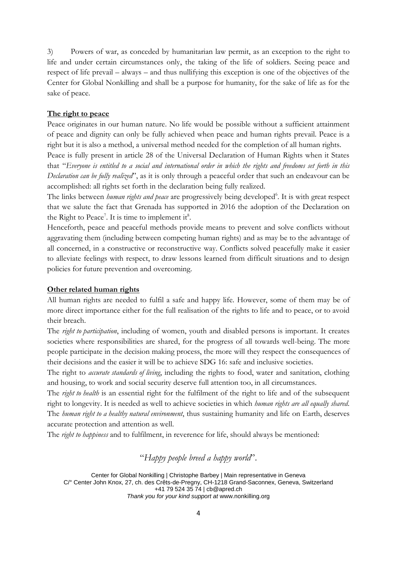3) Powers of war, as conceded by humanitarian law permit, as an exception to the right to life and under certain circumstances only, the taking of the life of soldiers. Seeing peace and respect of life prevail – always – and thus nullifying this exception is one of the objectives of the Center for Global Nonkilling and shall be a purpose for humanity, for the sake of life as for the sake of peace.

### **The right to peace**

Peace originates in our human nature. No life would be possible without a sufficient attainment of peace and dignity can only be fully achieved when peace and human rights prevail. Peace is a right but it is also a method, a universal method needed for the completion of all human rights.

Peace is fully present in article 28 of the Universal Declaration of Human Rights when it States that "*Everyone is entitled to a social and international order in which the rights and freedoms set forth in this Declaration can be fully realized*", as it is only through a peaceful order that such an endeavour can be accomplished: all rights set forth in the declaration being fully realized.

The links between *human rights and peace* are progressively being developed<sup>6</sup>. It is with great respect that we salute the fact that Grenada has supported in 2016 the adoption of the Declaration on the Right to Peace<sup>7</sup>. It is time to implement it<sup>8</sup>.

Henceforth, peace and peaceful methods provide means to prevent and solve conflicts without aggravating them (including between competing human rights) and as may be to the advantage of all concerned, in a constructive or reconstructive way. Conflicts solved peacefully make it easier to alleviate feelings with respect, to draw lessons learned from difficult situations and to design policies for future prevention and overcoming.

#### **Other related human rights**

All human rights are needed to fulfil a safe and happy life. However, some of them may be of more direct importance either for the full realisation of the rights to life and to peace, or to avoid their breach.

The *right to participation*, including of women, youth and disabled persons is important. It creates societies where responsibilities are shared, for the progress of all towards well-being. The more people participate in the decision making process, the more will they respect the consequences of their decisions and the easier it will be to achieve SDG 16: safe and inclusive societies.

The right to *accurate standards of living*, including the rights to food, water and sanitation, clothing and housing, to work and social security deserve full attention too, in all circumstances.

The *right to health* is an essential right for the fulfilment of the right to life and of the subsequent right to longevity. It is needed as well to achieve societies in which *human rights are all equally shared*. The *human right to a healthy natural environment*, thus sustaining humanity and life on Earth, deserves accurate protection and attention as well.

The *right to happiness* and to fulfilment, in reverence for life, should always be mentioned:

## "*Happy people breed a happy world*".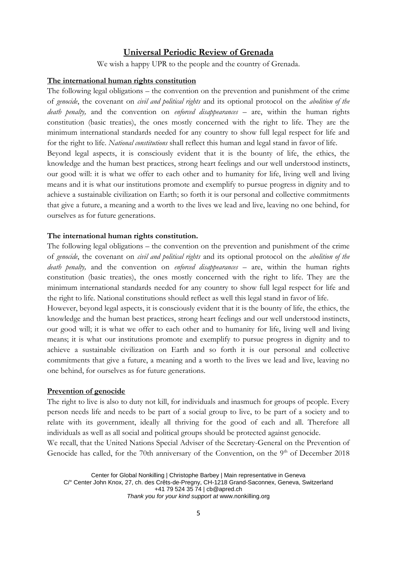## **Universal Periodic Review of Grenada**

We wish a happy UPR to the people and the country of Grenada.

## **The international human rights constitution**

The following legal obligations – the convention on the prevention and punishment of the crime of *genocide*, the covenant on *civil and political rights* and its optional protocol on the *abolition of the death penalty,* and the convention on *enforced disappearances* – are, within the human rights constitution (basic treaties), the ones mostly concerned with the right to life. They are the minimum international standards needed for any country to show full legal respect for life and for the right to life. *National constitutions* shall reflect this human and legal stand in favor of life. Beyond legal aspects, it is consciously evident that it is the bounty of life, the ethics, the knowledge and the human best practices, strong heart feelings and our well understood instincts, our good will: it is what we offer to each other and to humanity for life, living well and living

means and it is what our institutions promote and exemplify to pursue progress in dignity and to achieve a sustainable civilization on Earth; so forth it is our personal and collective commitments that give a future, a meaning and a worth to the lives we lead and live, leaving no one behind, for ourselves as for future generations.

#### **The international human rights constitution.**

The following legal obligations – the convention on the prevention and punishment of the crime of *genocide*, the covenant on *civil and political rights* and its optional protocol on the *abolition of the death penalty,* and the convention on *enforced disappearances* – are, within the human rights constitution (basic treaties), the ones mostly concerned with the right to life. They are the minimum international standards needed for any country to show full legal respect for life and the right to life. National constitutions should reflect as well this legal stand in favor of life.

However, beyond legal aspects, it is consciously evident that it is the bounty of life, the ethics, the knowledge and the human best practices, strong heart feelings and our well understood instincts, our good will; it is what we offer to each other and to humanity for life, living well and living means; it is what our institutions promote and exemplify to pursue progress in dignity and to achieve a sustainable civilization on Earth and so forth it is our personal and collective commitments that give a future, a meaning and a worth to the lives we lead and live, leaving no one behind, for ourselves as for future generations.

### **Prevention of genocide**

The right to live is also to duty not kill, for individuals and inasmuch for groups of people. Every person needs life and needs to be part of a social group to live, to be part of a society and to relate with its government, ideally all thriving for the good of each and all. Therefore all individuals as well as all social and political groups should be protected against genocide.

We recall, that the United Nations Special Adviser of the Secretary-General on the Prevention of Genocide has called, for the 70th anniversary of the Convention, on the 9<sup>th</sup> of December 2018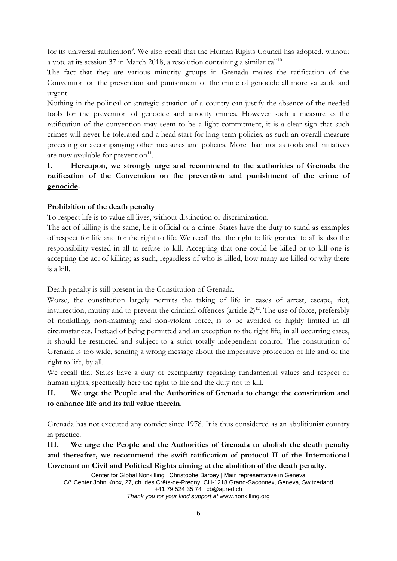for its universal ratification<sup>9</sup>. We also recall that the Human Rights Council has adopted, without a vote at its session 37 in March 2018, a resolution containing a similar call<sup>10</sup>.

The fact that they are various minority groups in Grenada makes the ratification of the Convention on the prevention and punishment of the crime of genocide all more valuable and urgent.

Nothing in the political or strategic situation of a country can justify the absence of the needed tools for the prevention of genocide and atrocity crimes. However such a measure as the ratification of the convention may seem to be a light commitment, it is a clear sign that such crimes will never be tolerated and a head start for long term policies, as such an overall measure preceding or accompanying other measures and policies. More than not as tools and initiatives are now available for prevention<sup>11</sup>.

## **I. Hereupon, we strongly urge and recommend to the authorities of Grenada the ratification of the Convention on the prevention and punishment of the crime of genocide.**

## **Prohibition of the death penalty**

To respect life is to value all lives, without distinction or discrimination.

The act of killing is the same, be it official or a crime. States have the duty to stand as examples of respect for life and for the right to life. We recall that the right to life granted to all is also the responsibility vested in all to refuse to kill. Accepting that one could be killed or to kill one is accepting the act of killing; as such, regardless of who is killed, how many are killed or why there is a kill.

Death penalty is still present in the Constitution of Grenada.

Worse, the constitution largely permits the taking of life in cases of arrest, escape, riot, insurrection, mutiny and to prevent the criminal offences (article  $2$ )<sup>12</sup>. The use of force, preferably of nonkilling, non-maiming and non-violent force, is to be avoided or highly limited in all circumstances. Instead of being permitted and an exception to the right life, in all occurring cases, it should be restricted and subject to a strict totally independent control. The constitution of Grenada is too wide, sending a wrong message about the imperative protection of life and of the right to life, by all.

We recall that States have a duty of exemplarity regarding fundamental values and respect of human rights, specifically here the right to life and the duty not to kill.

## **II. We urge the People and the Authorities of Grenada to change the constitution and to enhance life and its full value therein.**

Grenada has not executed any convict since 1978. It is thus considered as an abolitionist country in practice.

**III. We urge the People and the Authorities of Grenada to abolish the death penalty and thereafter, we recommend the swift ratification of protocol II of the International Covenant on Civil and Political Rights aiming at the abolition of the death penalty.**